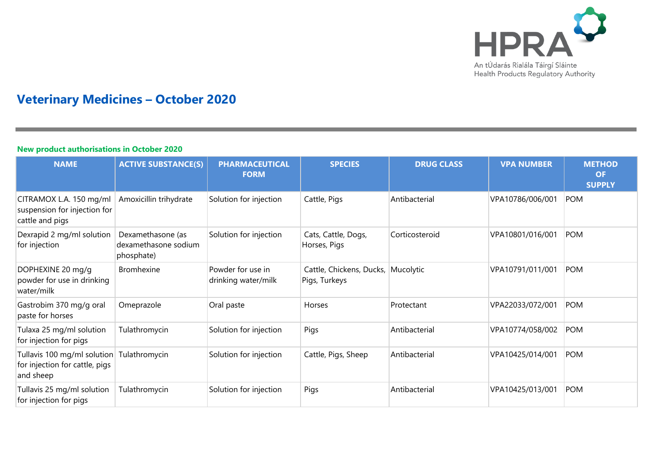

# **Veterinary Medicines – October 2020**

#### **New product authorisations in October 2020**

| <b>NAME</b>                                                                | <b>ACTIVE SUBSTANCE(S)</b>                              | <b>PHARMACEUTICAL</b><br><b>FORM</b>     | <b>SPECIES</b>                                      | <b>DRUG CLASS</b> | <b>VPA NUMBER</b> | <b>METHOD</b><br><b>OF</b><br><b>SUPPLY</b> |
|----------------------------------------------------------------------------|---------------------------------------------------------|------------------------------------------|-----------------------------------------------------|-------------------|-------------------|---------------------------------------------|
| CITRAMOX L.A. 150 mg/ml<br>suspension for injection for<br>cattle and pigs | Amoxicillin trihydrate                                  | Solution for injection                   | Cattle, Pigs                                        | Antibacterial     | VPA10786/006/001  | <b>POM</b>                                  |
| Dexrapid 2 mg/ml solution<br>for injection                                 | Dexamethasone (as<br>dexamethasone sodium<br>phosphate) | Solution for injection                   | Cats, Cattle, Dogs,<br>Horses, Pigs                 | Corticosteroid    | VPA10801/016/001  | <b>POM</b>                                  |
| DOPHEXINE 20 mg/g<br>powder for use in drinking<br>water/milk              | <b>Bromhexine</b>                                       | Powder for use in<br>drinking water/milk | Cattle, Chickens, Ducks, Mucolytic<br>Pigs, Turkeys |                   | VPA10791/011/001  | <b>POM</b>                                  |
| Gastrobim 370 mg/g oral<br>paste for horses                                | Omeprazole                                              | Oral paste                               | Horses                                              | Protectant        | VPA22033/072/001  | <b>POM</b>                                  |
| Tulaxa 25 mg/ml solution<br>for injection for pigs                         | Tulathromycin                                           | Solution for injection                   | Pigs                                                | Antibacterial     | VPA10774/058/002  | <b>POM</b>                                  |
| Tullavis 100 mg/ml solution<br>for injection for cattle, pigs<br>and sheep | Tulathromycin                                           | Solution for injection                   | Cattle, Pigs, Sheep                                 | Antibacterial     | VPA10425/014/001  | POM                                         |
| Tullavis 25 mg/ml solution<br>for injection for pigs                       | Tulathromycin                                           | Solution for injection                   | Pigs                                                | Antibacterial     | VPA10425/013/001  | <b>POM</b>                                  |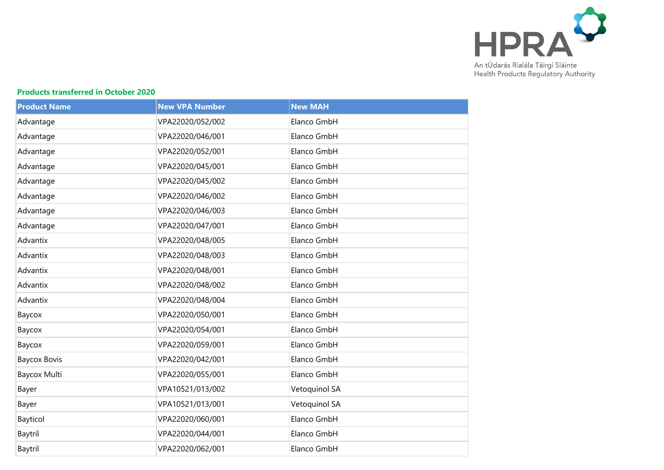

## **Products transferred in October 2020**

| <b>Product Name</b> | <b>New VPA Number</b> | <b>New MAH</b> |
|---------------------|-----------------------|----------------|
| Advantage           | VPA22020/052/002      | Elanco GmbH    |
| Advantage           | VPA22020/046/001      | Elanco GmbH    |
| Advantage           | VPA22020/052/001      | Elanco GmbH    |
| Advantage           | VPA22020/045/001      | Elanco GmbH    |
| Advantage           | VPA22020/045/002      | Elanco GmbH    |
| Advantage           | VPA22020/046/002      | Elanco GmbH    |
| Advantage           | VPA22020/046/003      | Elanco GmbH    |
| Advantage           | VPA22020/047/001      | Elanco GmbH    |
| Advantix            | VPA22020/048/005      | Elanco GmbH    |
| Advantix            | VPA22020/048/003      | Elanco GmbH    |
| Advantix            | VPA22020/048/001      | Elanco GmbH    |
| Advantix            | VPA22020/048/002      | Elanco GmbH    |
| Advantix            | VPA22020/048/004      | Elanco GmbH    |
| Baycox              | VPA22020/050/001      | Elanco GmbH    |
| Baycox              | VPA22020/054/001      | Elanco GmbH    |
| Baycox              | VPA22020/059/001      | Elanco GmbH    |
| <b>Baycox Bovis</b> | VPA22020/042/001      | Elanco GmbH    |
| Baycox Multi        | VPA22020/055/001      | Elanco GmbH    |
| Bayer               | VPA10521/013/002      | Vetoquinol SA  |
| Bayer               | VPA10521/013/001      | Vetoquinol SA  |
| Bayticol            | VPA22020/060/001      | Elanco GmbH    |
| Baytril             | VPA22020/044/001      | Elanco GmbH    |
| Baytril             | VPA22020/062/001      | Elanco GmbH    |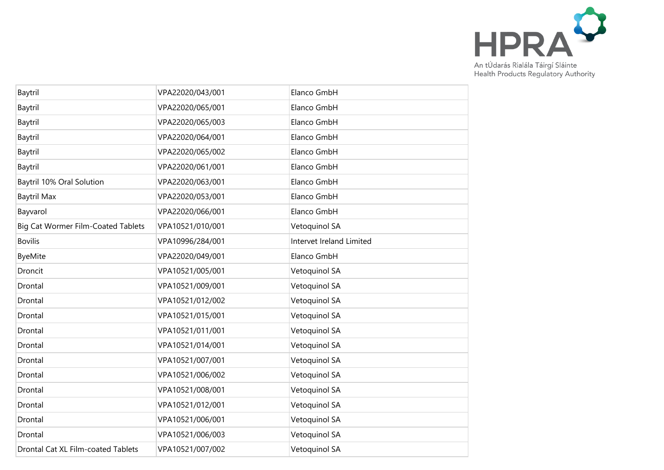

| Baytril                            | VPA22020/043/001 | Elanco GmbH              |
|------------------------------------|------------------|--------------------------|
| Baytril                            | VPA22020/065/001 | Elanco GmbH              |
| Baytril                            | VPA22020/065/003 | Elanco GmbH              |
| Baytril                            | VPA22020/064/001 | Elanco GmbH              |
| Baytril                            | VPA22020/065/002 | Elanco GmbH              |
| Baytril                            | VPA22020/061/001 | Elanco GmbH              |
| Baytril 10% Oral Solution          | VPA22020/063/001 | Elanco GmbH              |
| <b>Baytril Max</b>                 | VPA22020/053/001 | Elanco GmbH              |
| Bayvarol                           | VPA22020/066/001 | Elanco GmbH              |
| Big Cat Wormer Film-Coated Tablets | VPA10521/010/001 | Vetoquinol SA            |
| <b>Bovilis</b>                     | VPA10996/284/001 | Intervet Ireland Limited |
| <b>ByeMite</b>                     | VPA22020/049/001 | Elanco GmbH              |
| Droncit                            | VPA10521/005/001 | Vetoquinol SA            |
| Drontal                            | VPA10521/009/001 | Vetoquinol SA            |
| Drontal                            | VPA10521/012/002 | Vetoquinol SA            |
| Drontal                            | VPA10521/015/001 | Vetoquinol SA            |
| Drontal                            | VPA10521/011/001 | Vetoquinol SA            |
| Drontal                            | VPA10521/014/001 | Vetoquinol SA            |
| Drontal                            | VPA10521/007/001 | Vetoquinol SA            |
| Drontal                            | VPA10521/006/002 | Vetoquinol SA            |
| Drontal                            | VPA10521/008/001 | Vetoquinol SA            |
| Drontal                            | VPA10521/012/001 | Vetoquinol SA            |
| Drontal                            | VPA10521/006/001 | Vetoquinol SA            |
| Drontal                            | VPA10521/006/003 | Vetoquinol SA            |
| Drontal Cat XL Film-coated Tablets | VPA10521/007/002 | Vetoquinol SA            |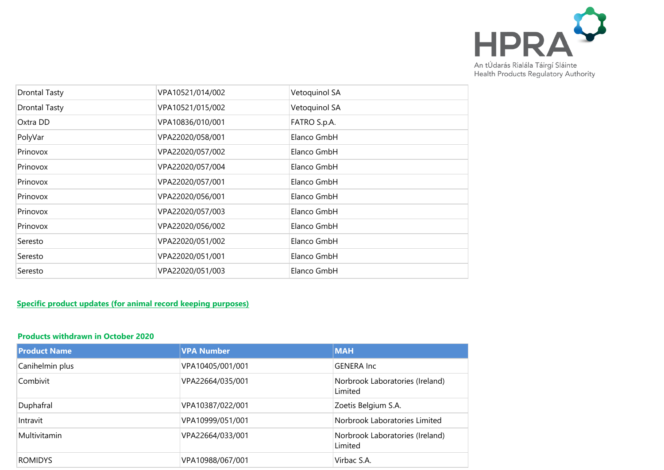

| <b>Drontal Tasty</b> | VPA10521/014/002 | Vetoquinol SA |
|----------------------|------------------|---------------|
| <b>Drontal Tasty</b> | VPA10521/015/002 | Vetoquinol SA |
| Oxtra DD             | VPA10836/010/001 | FATRO S.p.A.  |
| PolyVar              | VPA22020/058/001 | Elanco GmbH   |
| Prinovox             | VPA22020/057/002 | Elanco GmbH   |
| Prinovox             | VPA22020/057/004 | Elanco GmbH   |
| Prinovox             | VPA22020/057/001 | Elanco GmbH   |
| Prinovox             | VPA22020/056/001 | Elanco GmbH   |
| Prinovox             | VPA22020/057/003 | Elanco GmbH   |
| Prinovox             | VPA22020/056/002 | Elanco GmbH   |
| Seresto              | VPA22020/051/002 | Elanco GmbH   |
| Seresto              | VPA22020/051/001 | Elanco GmbH   |
| Seresto              | VPA22020/051/003 | Elanco GmbH   |

## **Specific product updates (for animal record keeping purposes)**

#### **Products withdrawn in October 2020**

| <b>Product Name</b> | <b>VPA Number</b> | <b>MAH</b>                                 |
|---------------------|-------------------|--------------------------------------------|
| Canihelmin plus     | VPA10405/001/001  | <b>GENERA Inc</b>                          |
| Combivit            | VPA22664/035/001  | Norbrook Laboratories (Ireland)<br>Limited |
| Duphafral           | VPA10387/022/001  | Zoetis Belgium S.A.                        |
| Intravit            | VPA10999/051/001  | Norbrook Laboratories Limited              |
| Multivitamin        | VPA22664/033/001  | Norbrook Laboratories (Ireland)<br>Limited |
| <b>ROMIDYS</b>      | VPA10988/067/001  | Virbac S.A.                                |